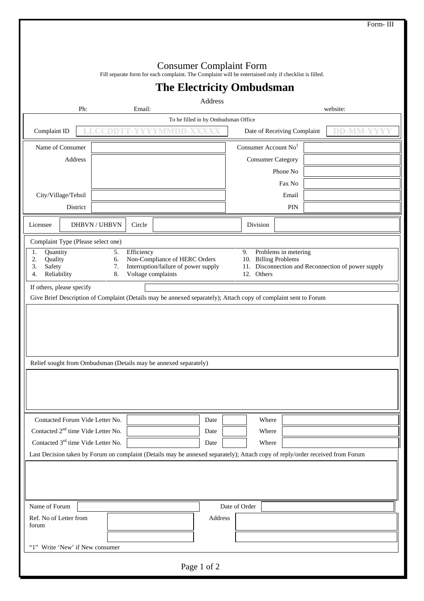|                                                                                                                              |                                                                                                                               |                                                                       |                                      | Form-III                                           |  |  |  |  |
|------------------------------------------------------------------------------------------------------------------------------|-------------------------------------------------------------------------------------------------------------------------------|-----------------------------------------------------------------------|--------------------------------------|----------------------------------------------------|--|--|--|--|
|                                                                                                                              |                                                                                                                               |                                                                       |                                      |                                                    |  |  |  |  |
|                                                                                                                              |                                                                                                                               |                                                                       |                                      |                                                    |  |  |  |  |
|                                                                                                                              | Fill separate form for each complaint. The Complaint will be entertained only if checklist is filled.                         | <b>Consumer Complaint Form</b>                                        |                                      |                                                    |  |  |  |  |
|                                                                                                                              |                                                                                                                               | <b>The Electricity Ombudsman</b>                                      |                                      |                                                    |  |  |  |  |
|                                                                                                                              |                                                                                                                               | Address                                                               |                                      |                                                    |  |  |  |  |
| Ph:                                                                                                                          | Email:                                                                                                                        |                                                                       |                                      | website:                                           |  |  |  |  |
| To be filled in by Ombudsman Office<br><b>DD-MM-Y</b><br>Complaint ID<br>Date of Receiving Complaint<br>CDDT<br>T-Y<br>MMDD- |                                                                                                                               |                                                                       |                                      |                                                    |  |  |  |  |
|                                                                                                                              |                                                                                                                               |                                                                       |                                      |                                                    |  |  |  |  |
| Name of Consumer                                                                                                             |                                                                                                                               |                                                                       | Consumer Account $No1$               |                                                    |  |  |  |  |
| Address                                                                                                                      |                                                                                                                               |                                                                       | <b>Consumer Category</b><br>Phone No |                                                    |  |  |  |  |
|                                                                                                                              |                                                                                                                               |                                                                       | Fax No                               |                                                    |  |  |  |  |
| City/Village/Tehsil                                                                                                          |                                                                                                                               |                                                                       | Email                                |                                                    |  |  |  |  |
| District                                                                                                                     |                                                                                                                               |                                                                       | PIN                                  |                                                    |  |  |  |  |
| Licensee                                                                                                                     | DHBVN / UHBVN<br>Circle                                                                                                       |                                                                       | Division                             |                                                    |  |  |  |  |
|                                                                                                                              |                                                                                                                               |                                                                       |                                      |                                                    |  |  |  |  |
| Complaint Type (Please select one)<br>1.<br>Quantity                                                                         | Efficiency<br>5.                                                                                                              |                                                                       | Problems in metering<br>9.           |                                                    |  |  |  |  |
| Quality<br>2.<br>3.<br>Safety                                                                                                | 6.<br>7.                                                                                                                      | Non-Compliance of HERC Orders<br>Interruption/failure of power supply | 10. Billing Problems                 | 11. Disconnection and Reconnection of power supply |  |  |  |  |
| Reliability<br>4.                                                                                                            | 8.<br>Voltage complaints                                                                                                      |                                                                       | 12. Others                           |                                                    |  |  |  |  |
| If others, please specify                                                                                                    |                                                                                                                               |                                                                       |                                      |                                                    |  |  |  |  |
| Give Brief Description of Complaint (Details may be annexed separately); Attach copy of complaint sent to Forum              |                                                                                                                               |                                                                       |                                      |                                                    |  |  |  |  |
|                                                                                                                              |                                                                                                                               |                                                                       |                                      |                                                    |  |  |  |  |
|                                                                                                                              |                                                                                                                               |                                                                       |                                      |                                                    |  |  |  |  |
|                                                                                                                              |                                                                                                                               |                                                                       |                                      |                                                    |  |  |  |  |
|                                                                                                                              |                                                                                                                               |                                                                       |                                      |                                                    |  |  |  |  |
|                                                                                                                              | Relief sought from Ombudsman (Details may be annexed separately)                                                              |                                                                       |                                      |                                                    |  |  |  |  |
|                                                                                                                              |                                                                                                                               |                                                                       |                                      |                                                    |  |  |  |  |
|                                                                                                                              |                                                                                                                               |                                                                       |                                      |                                                    |  |  |  |  |
|                                                                                                                              |                                                                                                                               |                                                                       |                                      |                                                    |  |  |  |  |
| Contacted Forum Vide Letter No.                                                                                              |                                                                                                                               | Date                                                                  | Where                                |                                                    |  |  |  |  |
| Contacted 2 <sup>nd</sup> time Vide Letter No.                                                                               |                                                                                                                               | Date                                                                  | Where                                |                                                    |  |  |  |  |
| Contacted 3 <sup>rd</sup> time Vide Letter No.                                                                               |                                                                                                                               | Date                                                                  | Where                                |                                                    |  |  |  |  |
|                                                                                                                              | Last Decision taken by Forum on complaint (Details may be annexed separately); Attach copy of reply/order received from Forum |                                                                       |                                      |                                                    |  |  |  |  |
|                                                                                                                              |                                                                                                                               |                                                                       |                                      |                                                    |  |  |  |  |
|                                                                                                                              |                                                                                                                               |                                                                       |                                      |                                                    |  |  |  |  |
|                                                                                                                              |                                                                                                                               |                                                                       |                                      |                                                    |  |  |  |  |
| Name of Forum                                                                                                                |                                                                                                                               |                                                                       | Date of Order                        |                                                    |  |  |  |  |
| Ref. No of Letter from<br>forum                                                                                              |                                                                                                                               | Address                                                               |                                      |                                                    |  |  |  |  |
|                                                                                                                              |                                                                                                                               |                                                                       |                                      |                                                    |  |  |  |  |
| "1" Write 'New' if New consumer                                                                                              |                                                                                                                               |                                                                       |                                      |                                                    |  |  |  |  |
|                                                                                                                              |                                                                                                                               |                                                                       |                                      |                                                    |  |  |  |  |
|                                                                                                                              |                                                                                                                               | Page 1 of 2                                                           |                                      |                                                    |  |  |  |  |